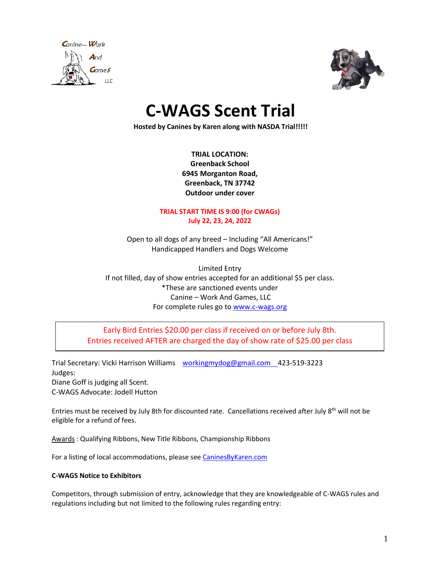



# **C-WAGS Scent Trial**

**Hosted by Canines by Karen along with NASDA Trial!!!!!**

**TRIAL LOCATION: Greenback School 6945 Morganton Road, Greenback, TN 37742 Outdoor under cover**

#### **TRIAL START TIME IS 9:00 (for CWAGs) July 22, 23, 24, 2022**

Open to all dogs of any breed – Including "All Americans!" Handicapped Handlers and Dogs Welcome

Limited Entry If not filled, day of show entries accepted for an additional \$5 per class. \*These are sanctioned events under Canine – Work And Games, LLC For complete rules go t[o www.c-wags.org](http://www.c-wags.org/)

Early Bird Entries \$20.00 per class if received on or before July 8th. Entries received AFTER are charged the day of show rate of \$25.00 per class

Trial Secretary: Vicki Harrison Williams [workingmydog@gmail.com](mailto:workingmydog@gmail.com) 423-519-3223 Judges: Diane Goff is judging all Scent. C-WAGS Advocate: Jodell Hutton

Entries must be received by July 8th for discounted rate. Cancellations received after July 8<sup>th</sup> will not be eligible for a refund of fees.

Awards : Qualifying Ribbons, New Title Ribbons, Championship Ribbons

For a listing of local accommodations, please see [CaninesByKaren.com](http://www.caninesbykaren.com/finny-farm/lodging/) 

#### **C-WAGS Notice to Exhibitors**

Competitors, through submission of entry, acknowledge that they are knowledgeable of C-WAGS rules and regulations including but not limited to the following rules regarding entry: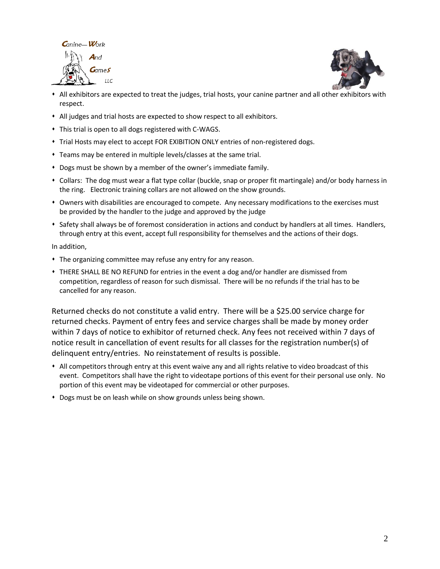



- ⬧ All exhibitors are expected to treat the judges, trial hosts, your canine partner and all other exhibitors with respect.
- ⬧ All judges and trial hosts are expected to show respect to all exhibitors.
- ⬧ This trial is open to all dogs registered with C-WAGS.
- ⬧ Trial Hosts may elect to accept FOR EXIBITION ONLY entries of non-registered dogs.
- ⬧ Teams may be entered in multiple levels/classes at the same trial.
- ⬧ Dogs must be shown by a member of the owner's immediate family.
- ⬧ Collars: The dog must wear a flat type collar (buckle, snap or proper fit martingale) and/or body harness in the ring. Electronic training collars are not allowed on the show grounds.
- ⬧ Owners with disabilities are encouraged to compete. Any necessary modifications to the exercises must be provided by the handler to the judge and approved by the judge
- ⬧ Safety shall always be of foremost consideration in actions and conduct by handlers at all times. Handlers, through entry at this event, accept full responsibility for themselves and the actions of their dogs.

In addition,

- ⬧ The organizing committee may refuse any entry for any reason.
- ⬧ THERE SHALL BE NO REFUND for entries in the event a dog and/or handler are dismissed from competition, regardless of reason for such dismissal. There will be no refunds if the trial has to be cancelled for any reason.

Returned checks do not constitute a valid entry. There will be a \$25.00 service charge for returned checks. Payment of entry fees and service charges shall be made by money order within 7 days of notice to exhibitor of returned check. Any fees not received within 7 days of notice result in cancellation of event results for all classes for the registration number(s) of delinquent entry/entries. No reinstatement of results is possible.

- ⬧ All competitors through entry at this event waive any and all rights relative to video broadcast of this event. Competitors shall have the right to videotape portions of this event for their personal use only. No portion of this event may be videotaped for commercial or other purposes.
- ⬧ Dogs must be on leash while on show grounds unless being shown.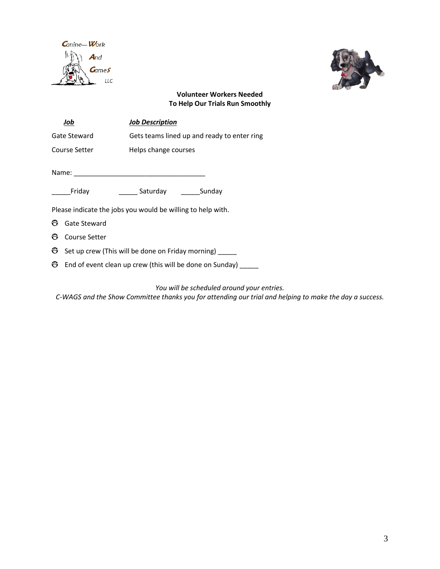



#### **Volunteer Workers Needed To Help Our Trials Run Smoothly**

| Job           |                                                             | <b>Job Description</b>                      |  |  |  |  |  |  |
|---------------|-------------------------------------------------------------|---------------------------------------------|--|--|--|--|--|--|
| Gate Steward  |                                                             | Gets teams lined up and ready to enter ring |  |  |  |  |  |  |
| Course Setter |                                                             | Helps change courses                        |  |  |  |  |  |  |
|               | Name:                                                       |                                             |  |  |  |  |  |  |
|               | Friday                                                      | Saturday<br>Sunday                          |  |  |  |  |  |  |
|               | Please indicate the jobs you would be willing to help with. |                                             |  |  |  |  |  |  |
| ⊕             | Gate Steward                                                |                                             |  |  |  |  |  |  |
| ප             | Course Setter                                               |                                             |  |  |  |  |  |  |
| ඏ             | Set up crew (This will be done on Friday morning)           |                                             |  |  |  |  |  |  |

End of event clean up crew (this will be done on Sunday) \_\_\_\_\_

*You will be scheduled around your entries.*

*C-WAGS and the Show Committee thanks you for attending our trial and helping to make the day a success.*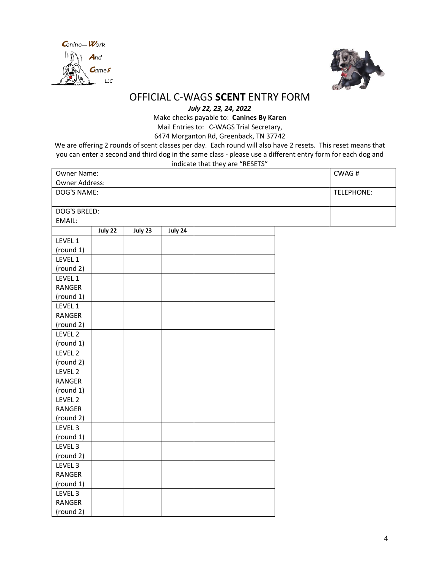



## OFFICIAL C-WAGS **SCENT** ENTRY FORM

*July 22, 23, 24, 2022*

Make checks payable to: **Canines By Karen**

Mail Entries to: C-WAGS Trial Secretary, 6474 Morganton Rd, Greenback, TN 37742

We are offering 2 rounds of scent classes per day. Each round will also have 2 resets. This reset means that you can enter a second and third dog in the same class - please use a different entry form for each dog and indicate that they are "RESETS"

| Owner Name:    |         |         |         |  |            | CWAG# |  |
|----------------|---------|---------|---------|--|------------|-------|--|
| Owner Address: |         |         |         |  |            |       |  |
| DOG'S NAME:    |         |         |         |  | TELEPHONE: |       |  |
|                |         |         |         |  |            |       |  |
| DOG'S BREED:   |         |         |         |  |            |       |  |
| EMAIL:         |         |         |         |  |            |       |  |
|                | July 22 | July 23 | July 24 |  |            |       |  |
| LEVEL 1        |         |         |         |  |            |       |  |
| (round 1)      |         |         |         |  |            |       |  |
| LEVEL 1        |         |         |         |  |            |       |  |
| (round 2)      |         |         |         |  |            |       |  |
| LEVEL 1        |         |         |         |  |            |       |  |
| RANGER         |         |         |         |  |            |       |  |
| (round 1)      |         |         |         |  |            |       |  |
| LEVEL 1        |         |         |         |  |            |       |  |
| RANGER         |         |         |         |  |            |       |  |
| (round 2)      |         |         |         |  |            |       |  |
| LEVEL 2        |         |         |         |  |            |       |  |
| (round 1)      |         |         |         |  |            |       |  |
| LEVEL 2        |         |         |         |  |            |       |  |
| (round 2)      |         |         |         |  |            |       |  |
| LEVEL 2        |         |         |         |  |            |       |  |
| RANGER         |         |         |         |  |            |       |  |
| (round 1)      |         |         |         |  |            |       |  |
| LEVEL 2        |         |         |         |  |            |       |  |
| RANGER         |         |         |         |  |            |       |  |
| (round 2)      |         |         |         |  |            |       |  |
| LEVEL 3        |         |         |         |  |            |       |  |
| (round 1)      |         |         |         |  |            |       |  |
| LEVEL 3        |         |         |         |  |            |       |  |
| (round 2)      |         |         |         |  |            |       |  |
| LEVEL 3        |         |         |         |  |            |       |  |
| RANGER         |         |         |         |  |            |       |  |
| (round 1)      |         |         |         |  |            |       |  |
| LEVEL 3        |         |         |         |  |            |       |  |
| RANGER         |         |         |         |  |            |       |  |
| (round 2)      |         |         |         |  |            |       |  |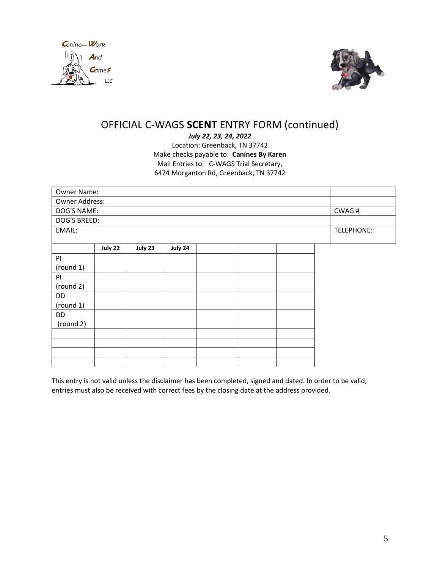



## OFFICIAL C-WAGS **SCENT** ENTRY FORM (continued)

*July 22, 23, 24, 2022* Location: Greenback, TN 37742 Make checks payable to: **Canines By Karen** Mail Entries to: C-WAGS Trial Secretary, 6474 Morganton Rd, Greenback, TN 37742

| Owner Name:    |         |         |         |  |  |  |  |            |
|----------------|---------|---------|---------|--|--|--|--|------------|
| Owner Address: |         |         |         |  |  |  |  |            |
| DOG'S NAME:    | CWAG#   |         |         |  |  |  |  |            |
| DOG'S BREED:   |         |         |         |  |  |  |  |            |
| EMAIL:         |         |         |         |  |  |  |  | TELEPHONE: |
|                |         |         |         |  |  |  |  |            |
|                | July 22 | July 23 | July 24 |  |  |  |  |            |
| PI             |         |         |         |  |  |  |  |            |
| (round 1)      |         |         |         |  |  |  |  |            |
| P              |         |         |         |  |  |  |  |            |
| (round 2)      |         |         |         |  |  |  |  |            |
| DD             |         |         |         |  |  |  |  |            |
| (round 1)      |         |         |         |  |  |  |  |            |
| DD             |         |         |         |  |  |  |  |            |
| (round 2)      |         |         |         |  |  |  |  |            |
|                |         |         |         |  |  |  |  |            |
|                |         |         |         |  |  |  |  |            |
|                |         |         |         |  |  |  |  |            |
|                |         |         |         |  |  |  |  |            |

This entry is not valid unless the disclaimer has been completed, signed and dated. In order to be valid, entries must also be received with correct fees by the closing date at the address provided.